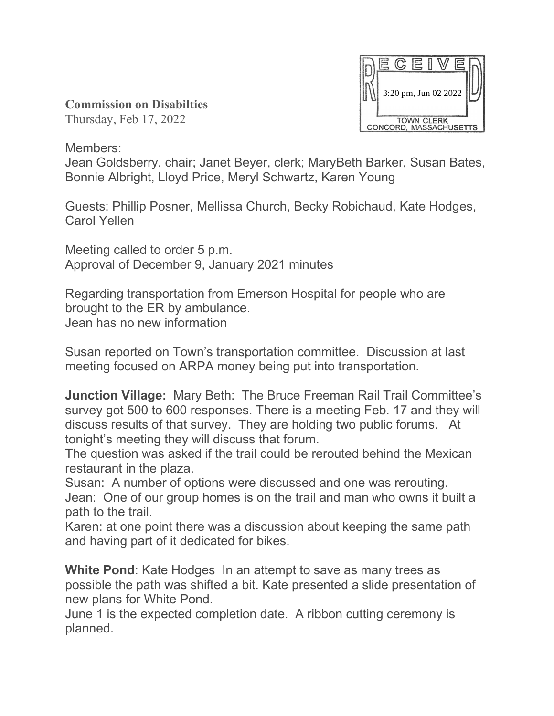

**Commission on Disabilties** Thursday, Feb 17, 2022

Members:

Jean Goldsberry, chair; Janet Beyer, clerk; MaryBeth Barker, Susan Bates, Bonnie Albright, Lloyd Price, Meryl Schwartz, Karen Young

Guests: Phillip Posner, Mellissa Church, Becky Robichaud, Kate Hodges, Carol Yellen

Meeting called to order 5 p.m. Approval of December 9, January 2021 minutes

Regarding transportation from Emerson Hospital for people who are brought to the ER by ambulance. Jean has no new information

Susan reported on Town's transportation committee. Discussion at last meeting focused on ARPA money being put into transportation.

**Junction Village:** Mary Beth: The Bruce Freeman Rail Trail Committee's survey got 500 to 600 responses. There is a meeting Feb. 17 and they will discuss results of that survey. They are holding two public forums. At tonight's meeting they will discuss that forum.

The question was asked if the trail could be rerouted behind the Mexican restaurant in the plaza.

Susan: A number of options were discussed and one was rerouting. Jean: One of our group homes is on the trail and man who owns it built a path to the trail.

Karen: at one point there was a discussion about keeping the same path and having part of it dedicated for bikes.

**White Pond**: Kate Hodges In an attempt to save as many trees as possible the path was shifted a bit. Kate presented a slide presentation of new plans for White Pond.

June 1 is the expected completion date. A ribbon cutting ceremony is planned.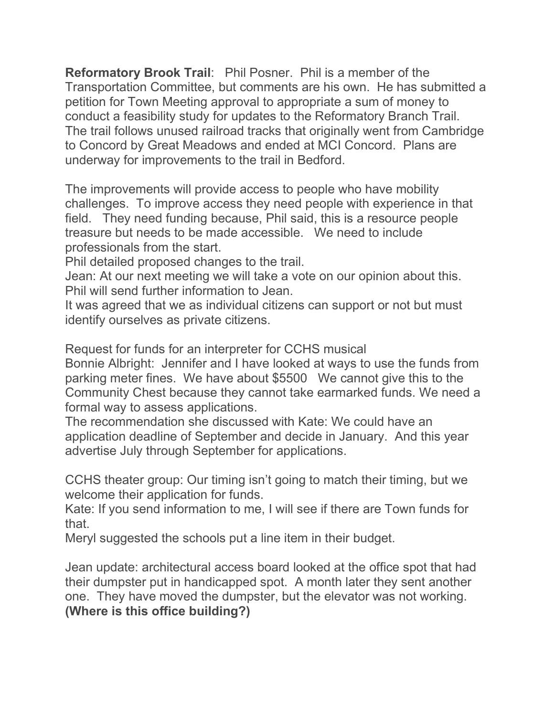**Reformatory Brook Trail**: Phil Posner. Phil is a member of the Transportation Committee, but comments are his own. He has submitted a petition for Town Meeting approval to appropriate a sum of money to conduct a feasibility study for updates to the Reformatory Branch Trail. The trail follows unused railroad tracks that originally went from Cambridge to Concord by Great Meadows and ended at MCI Concord. Plans are underway for improvements to the trail in Bedford.

The improvements will provide access to people who have mobility challenges. To improve access they need people with experience in that field. They need funding because, Phil said, this is a resource people treasure but needs to be made accessible. We need to include professionals from the start.

Phil detailed proposed changes to the trail.

Jean: At our next meeting we will take a vote on our opinion about this. Phil will send further information to Jean.

It was agreed that we as individual citizens can support or not but must identify ourselves as private citizens.

Request for funds for an interpreter for CCHS musical

Bonnie Albright: Jennifer and I have looked at ways to use the funds from parking meter fines. We have about \$5500 We cannot give this to the Community Chest because they cannot take earmarked funds. We need a formal way to assess applications.

The recommendation she discussed with Kate: We could have an application deadline of September and decide in January. And this year advertise July through September for applications.

CCHS theater group: Our timing isn't going to match their timing, but we welcome their application for funds.

Kate: If you send information to me, I will see if there are Town funds for that.

Meryl suggested the schools put a line item in their budget.

Jean update: architectural access board looked at the office spot that had their dumpster put in handicapped spot. A month later they sent another one. They have moved the dumpster, but the elevator was not working. **(Where is this office building?)**